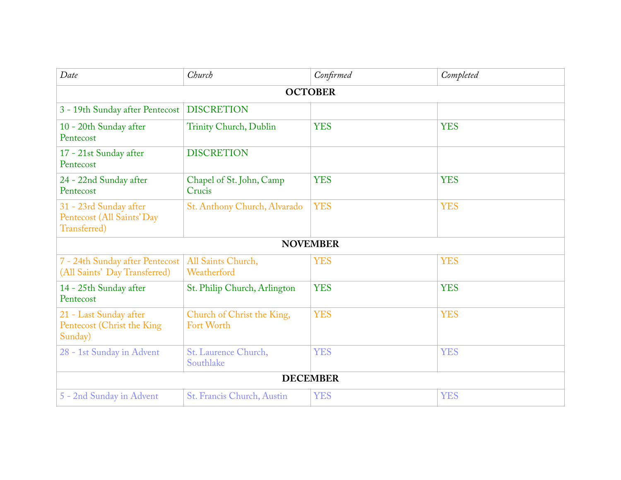| Date                                                                 | Church                                   | Confirmed  | Completed  |  |
|----------------------------------------------------------------------|------------------------------------------|------------|------------|--|
| <b>OCTOBER</b>                                                       |                                          |            |            |  |
| 3 - 19th Sunday after Pentecost                                      | <b>DISCRETION</b>                        |            |            |  |
| 10 - 20th Sunday after<br>Pentecost                                  | Trinity Church, Dublin                   | <b>YES</b> | <b>YES</b> |  |
| 17 - 21st Sunday after<br>Pentecost                                  | <b>DISCRETION</b>                        |            |            |  |
| 24 - 22nd Sunday after<br>Pentecost                                  | Chapel of St. John, Camp<br>Crucis       | <b>YES</b> | <b>YES</b> |  |
| 31 - 23rd Sunday after<br>Pentecost (All Saints' Day<br>Transferred) | St. Anthony Church, Alvarado             | <b>YES</b> | <b>YES</b> |  |
| <b>NOVEMBER</b>                                                      |                                          |            |            |  |
| 7 - 24th Sunday after Pentecost<br>(All Saints' Day Transferred)     | All Saints Church,<br>Weatherford        | <b>YES</b> | <b>YES</b> |  |
| 14 - 25th Sunday after<br>Pentecost                                  | St. Philip Church, Arlington             | <b>YES</b> | <b>YES</b> |  |
| 21 - Last Sunday after<br>Pentecost (Christ the King<br>Sunday)      | Church of Christ the King,<br>Fort Worth | <b>YES</b> | <b>YES</b> |  |
| 28 - 1st Sunday in Advent                                            | St. Laurence Church,<br>Southlake        | <b>YES</b> | <b>YES</b> |  |
| <b>DECEMBER</b>                                                      |                                          |            |            |  |
| 5 - 2nd Sunday in Advent                                             | <b>St. Francis Church, Austin</b>        | <b>YES</b> | <b>YES</b> |  |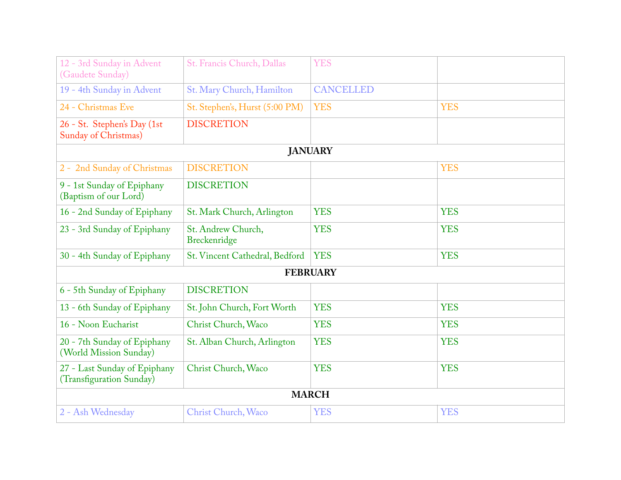| 12 - 3rd Sunday in Advent<br>(Gaudete Sunday)              | St. Francis Church, Dallas         | <b>YES</b>       |            |  |
|------------------------------------------------------------|------------------------------------|------------------|------------|--|
| 19 - 4th Sunday in Advent                                  | St. Mary Church, Hamilton          | <b>CANCELLED</b> |            |  |
| 24 - Christmas Eve                                         | St. Stephen's, Hurst (5:00 PM)     | <b>YES</b>       | <b>YES</b> |  |
| 26 - St. Stephen's Day (1st<br><b>Sunday of Christmas)</b> | <b>DISCRETION</b>                  |                  |            |  |
|                                                            |                                    | <b>JANUARY</b>   |            |  |
| 2 - 2nd Sunday of Christmas                                | <b>DISCRETION</b>                  |                  | <b>YES</b> |  |
| 9 - 1st Sunday of Epiphany<br>(Baptism of our Lord)        | <b>DISCRETION</b>                  |                  |            |  |
| 16 - 2nd Sunday of Epiphany                                | St. Mark Church, Arlington         | <b>YES</b>       | <b>YES</b> |  |
| 23 - 3rd Sunday of Epiphany                                | St. Andrew Church,<br>Breckenridge | <b>YES</b>       | <b>YES</b> |  |
| 30 - 4th Sunday of Epiphany                                | St. Vincent Cathedral, Bedford     | <b>YES</b>       | <b>YES</b> |  |
| <b>FEBRUARY</b>                                            |                                    |                  |            |  |
| 6 - 5th Sunday of Epiphany                                 | <b>DISCRETION</b>                  |                  |            |  |
| 13 - 6th Sunday of Epiphany                                | St. John Church, Fort Worth        | <b>YES</b>       | <b>YES</b> |  |
| 16 - Noon Eucharist                                        | Christ Church, Waco                | <b>YES</b>       | <b>YES</b> |  |
| 20 - 7th Sunday of Epiphany<br>(World Mission Sunday)      | St. Alban Church, Arlington        | <b>YES</b>       | <b>YES</b> |  |
| 27 - Last Sunday of Epiphany<br>(Transfiguration Sunday)   | Christ Church, Waco                | <b>YES</b>       | <b>YES</b> |  |
| <b>MARCH</b>                                               |                                    |                  |            |  |
| 2 - Ash Wednesday                                          | Christ Church, Waco                | <b>YES</b>       | <b>YES</b> |  |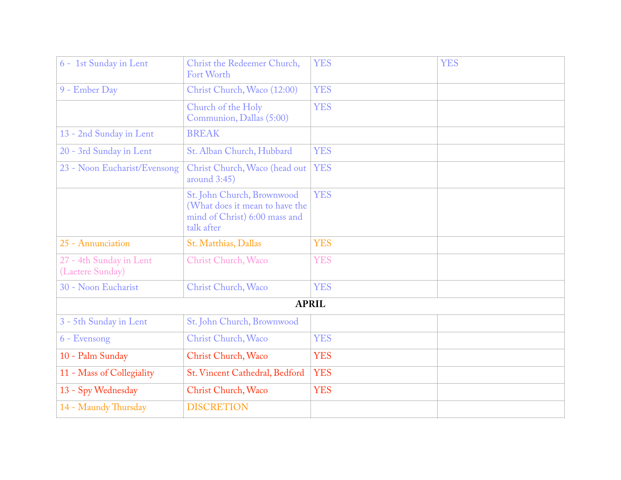| 6 - 1st Sunday in Lent                      | Christ the Redeemer Church,<br>Fort Worth                                                                   | <b>YES</b>   | <b>YES</b> |
|---------------------------------------------|-------------------------------------------------------------------------------------------------------------|--------------|------------|
| 9 - Ember Day                               | Christ Church, Waco (12:00)                                                                                 | <b>YES</b>   |            |
|                                             | Church of the Holy<br>Communion, Dallas (5:00)                                                              | <b>YES</b>   |            |
| 13 - 2nd Sunday in Lent                     | <b>BREAK</b>                                                                                                |              |            |
| 20 - 3rd Sunday in Lent                     | St. Alban Church, Hubbard                                                                                   | <b>YES</b>   |            |
| 23 - Noon Eucharist/Evensong                | Christ Church, Waco (head out<br>around $3:45$ )                                                            | <b>YES</b>   |            |
|                                             | St. John Church, Brownwood<br>(What does it mean to have the<br>mind of Christ) 6:00 mass and<br>talk after | <b>YES</b>   |            |
| 25 - Annunciation                           | St. Matthias, Dallas                                                                                        | <b>YES</b>   |            |
| 27 - 4th Sunday in Lent<br>(Laetere Sunday) | Christ Church, Waco                                                                                         | <b>YES</b>   |            |
|                                             |                                                                                                             |              |            |
| 30 - Noon Eucharist                         | Christ Church, Waco                                                                                         | <b>YES</b>   |            |
|                                             |                                                                                                             | <b>APRIL</b> |            |
| 3 - 5th Sunday in Lent                      | St. John Church, Brownwood                                                                                  |              |            |
| 6 - Evensong                                | Christ Church, Waco                                                                                         | <b>YES</b>   |            |
| 10 - Palm Sunday                            | Christ Church, Waco                                                                                         | <b>YES</b>   |            |
| 11 - Mass of Collegiality                   | St. Vincent Cathedral, Bedford                                                                              | <b>YES</b>   |            |
| 13 - Spy Wednesday                          | Christ Church, Waco                                                                                         | <b>YES</b>   |            |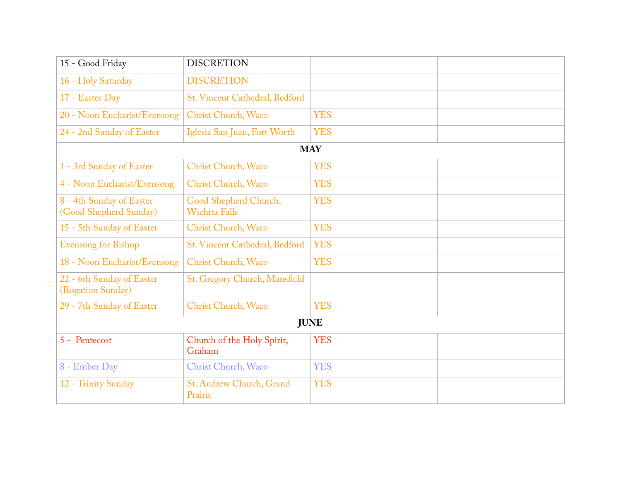| 15 - Good Friday                                   | <b>DISCRETION</b>                             |            |  |  |  |
|----------------------------------------------------|-----------------------------------------------|------------|--|--|--|
| 16 - Holy Saturday                                 | <b>DISCRETION</b>                             |            |  |  |  |
| 17 - Easter Day                                    | St. Vincent Cathedral, Bedford                |            |  |  |  |
| 20 - Noon Eucharist/Evensong                       | Christ Church, Waco                           | <b>YES</b> |  |  |  |
| 24 - 2nd Sunday of Easter                          | Iglesia San Juan, Fort Worth                  | <b>YES</b> |  |  |  |
|                                                    | <b>MAY</b>                                    |            |  |  |  |
| 1 - 3rd Sunday of Easter                           | Christ Church, Waco                           | <b>YES</b> |  |  |  |
| 4 - Noon Eucharist/Evensong                        | Christ Church, Waco                           | <b>YES</b> |  |  |  |
| 8 - 4th Sunday of Easter<br>(Good Shepherd Sunday) | Good Shepherd Church,<br><b>Wichita Falls</b> | <b>YES</b> |  |  |  |
| 15 - 5th Sunday of Easter                          | Christ Church, Waco                           | <b>YES</b> |  |  |  |
| Evensong for Bishop                                | St. Vincent Cathedral, Bedford                | <b>YES</b> |  |  |  |
| 18 - Noon Eucharist/Evensong                       | Christ Church, Waco                           | <b>YES</b> |  |  |  |
| 22 - 6th Sunday of Easter<br>(Rogation Sunday)     | St. Gregory Church, Mansfield                 |            |  |  |  |
| 29 - 7th Sunday of Easter                          | Christ Church, Waco                           | <b>YES</b> |  |  |  |
| <b>JUNE</b>                                        |                                               |            |  |  |  |
| 5 - Pentecost                                      | Church of the Holy Spirit,<br>Graham          | <b>YES</b> |  |  |  |
| 8 - Ember Day                                      | Christ Church, Waco                           | <b>YES</b> |  |  |  |
| 12 - Trinity Sunday                                | St. Andrew Church, Grand<br>Prairie           | <b>YES</b> |  |  |  |